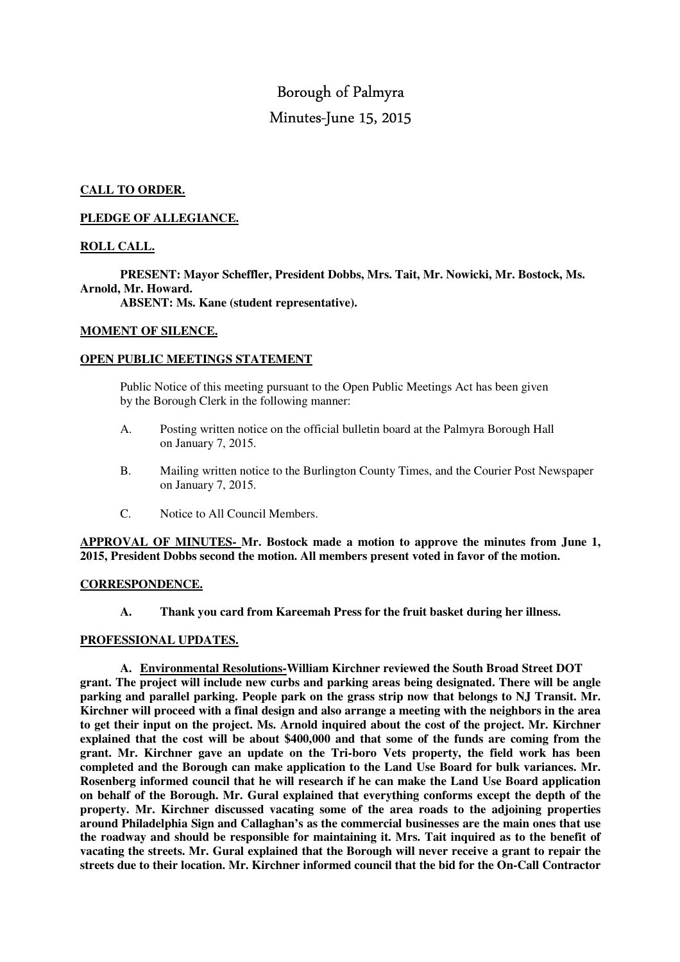# Borough of Palmyra Minutes-June 15, 2015

### **CALL TO ORDER.**

#### **PLEDGE OF ALLEGIANCE.**

## **ROLL CALL.**

 **PRESENT: Mayor Scheffler, President Dobbs, Mrs. Tait, Mr. Nowicki, Mr. Bostock, Ms. Arnold, Mr. Howard.** 

 **ABSENT: Ms. Kane (student representative).** 

#### **MOMENT OF SILENCE.**

#### **OPEN PUBLIC MEETINGS STATEMENT**

 Public Notice of this meeting pursuant to the Open Public Meetings Act has been given by the Borough Clerk in the following manner:

- A. Posting written notice on the official bulletin board at the Palmyra Borough Hall on January 7, 2015.
- B. Mailing written notice to the Burlington County Times, and the Courier Post Newspaper on January 7, 2015.
- C. Notice to All Council Members.

**APPROVAL OF MINUTES- Mr. Bostock made a motion to approve the minutes from June 1, 2015, President Dobbs second the motion. All members present voted in favor of the motion.** 

#### **CORRESPONDENCE.**

 **A. Thank you card from Kareemah Press for the fruit basket during her illness.** 

#### **PROFESSIONAL UPDATES.**

**A. Environmental Resolutions-William Kirchner reviewed the South Broad Street DOT grant. The project will include new curbs and parking areas being designated. There will be angle parking and parallel parking. People park on the grass strip now that belongs to NJ Transit. Mr. Kirchner will proceed with a final design and also arrange a meeting with the neighbors in the area to get their input on the project. Ms. Arnold inquired about the cost of the project. Mr. Kirchner explained that the cost will be about \$400,000 and that some of the funds are coming from the grant. Mr. Kirchner gave an update on the Tri-boro Vets property, the field work has been completed and the Borough can make application to the Land Use Board for bulk variances. Mr. Rosenberg informed council that he will research if he can make the Land Use Board application on behalf of the Borough. Mr. Gural explained that everything conforms except the depth of the property. Mr. Kirchner discussed vacating some of the area roads to the adjoining properties around Philadelphia Sign and Callaghan's as the commercial businesses are the main ones that use the roadway and should be responsible for maintaining it. Mrs. Tait inquired as to the benefit of vacating the streets. Mr. Gural explained that the Borough will never receive a grant to repair the streets due to their location. Mr. Kirchner informed council that the bid for the On-Call Contractor**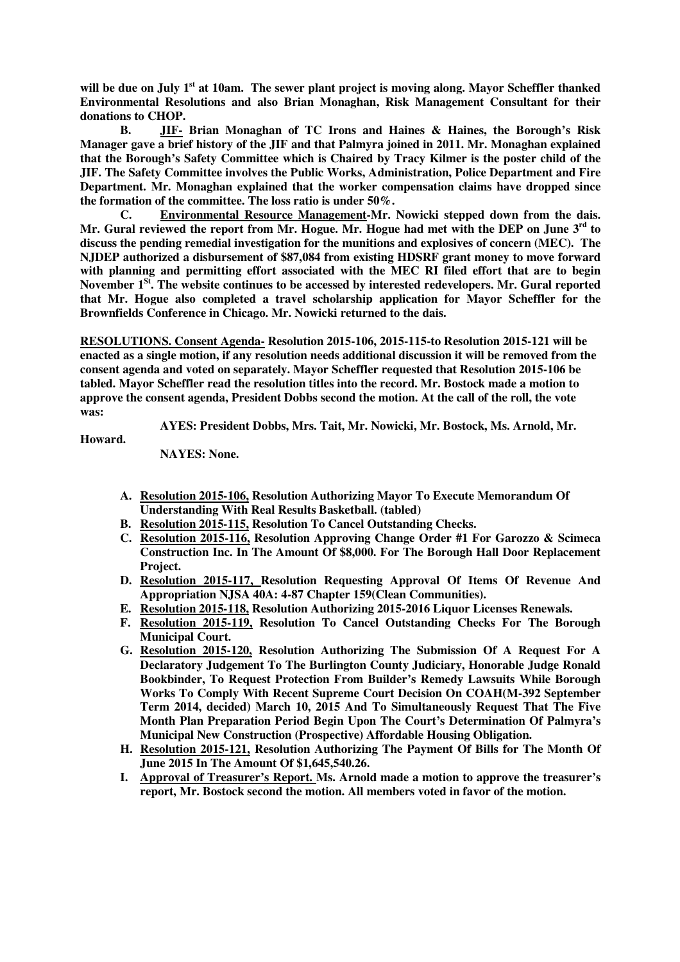will be due on July 1<sup>st</sup> at 10am. The sewer plant project is moving along. Mayor Scheffler thanked **Environmental Resolutions and also Brian Monaghan, Risk Management Consultant for their donations to CHOP.** 

 **B. JIF- Brian Monaghan of TC Irons and Haines & Haines, the Borough's Risk Manager gave a brief history of the JIF and that Palmyra joined in 2011. Mr. Monaghan explained that the Borough's Safety Committee which is Chaired by Tracy Kilmer is the poster child of the JIF. The Safety Committee involves the Public Works, Administration, Police Department and Fire Department. Mr. Monaghan explained that the worker compensation claims have dropped since the formation of the committee. The loss ratio is under 50%.** 

 **C. Environmental Resource Management-Mr. Nowicki stepped down from the dais. Mr. Gural reviewed the report from Mr. Hogue. Mr. Hogue had met with the DEP on June 3rd to discuss the pending remedial investigation for the munitions and explosives of concern (MEC). The NJDEP authorized a disbursement of \$87,084 from existing HDSRF grant money to move forward with planning and permitting effort associated with the MEC RI filed effort that are to begin November 1St. The website continues to be accessed by interested redevelopers. Mr. Gural reported that Mr. Hogue also completed a travel scholarship application for Mayor Scheffler for the Brownfields Conference in Chicago. Mr. Nowicki returned to the dais.** 

**RESOLUTIONS. Consent Agenda- Resolution 2015-106, 2015-115-to Resolution 2015-121 will be enacted as a single motion, if any resolution needs additional discussion it will be removed from the consent agenda and voted on separately. Mayor Scheffler requested that Resolution 2015-106 be tabled. Mayor Scheffler read the resolution titles into the record. Mr. Bostock made a motion to approve the consent agenda, President Dobbs second the motion. At the call of the roll, the vote was:** 

 **AYES: President Dobbs, Mrs. Tait, Mr. Nowicki, Mr. Bostock, Ms. Arnold, Mr.** 

**Howard.** 

 **NAYES: None.** 

- **A. Resolution 2015-106, Resolution Authorizing Mayor To Execute Memorandum Of Understanding With Real Results Basketball. (tabled)**
- **B. Resolution 2015-115, Resolution To Cancel Outstanding Checks.**
- **C. Resolution 2015-116, Resolution Approving Change Order #1 For Garozzo & Scimeca Construction Inc. In The Amount Of \$8,000. For The Borough Hall Door Replacement Project.**
- **D. Resolution 2015-117, Resolution Requesting Approval Of Items Of Revenue And Appropriation NJSA 40A: 4-87 Chapter 159(Clean Communities).**
- **E. Resolution 2015-118, Resolution Authorizing 2015-2016 Liquor Licenses Renewals.**
- **F. Resolution 2015-119, Resolution To Cancel Outstanding Checks For The Borough Municipal Court.**
- **G. Resolution 2015-120, Resolution Authorizing The Submission Of A Request For A Declaratory Judgement To The Burlington County Judiciary, Honorable Judge Ronald Bookbinder, To Request Protection From Builder's Remedy Lawsuits While Borough Works To Comply With Recent Supreme Court Decision On COAH(M-392 September Term 2014, decided) March 10, 2015 And To Simultaneously Request That The Five Month Plan Preparation Period Begin Upon The Court's Determination Of Palmyra's Municipal New Construction (Prospective) Affordable Housing Obligation.**
- **H. Resolution 2015-121, Resolution Authorizing The Payment Of Bills for The Month Of June 2015 In The Amount Of \$1,645,540.26.**
- **I. Approval of Treasurer's Report. Ms. Arnold made a motion to approve the treasurer's report, Mr. Bostock second the motion. All members voted in favor of the motion.**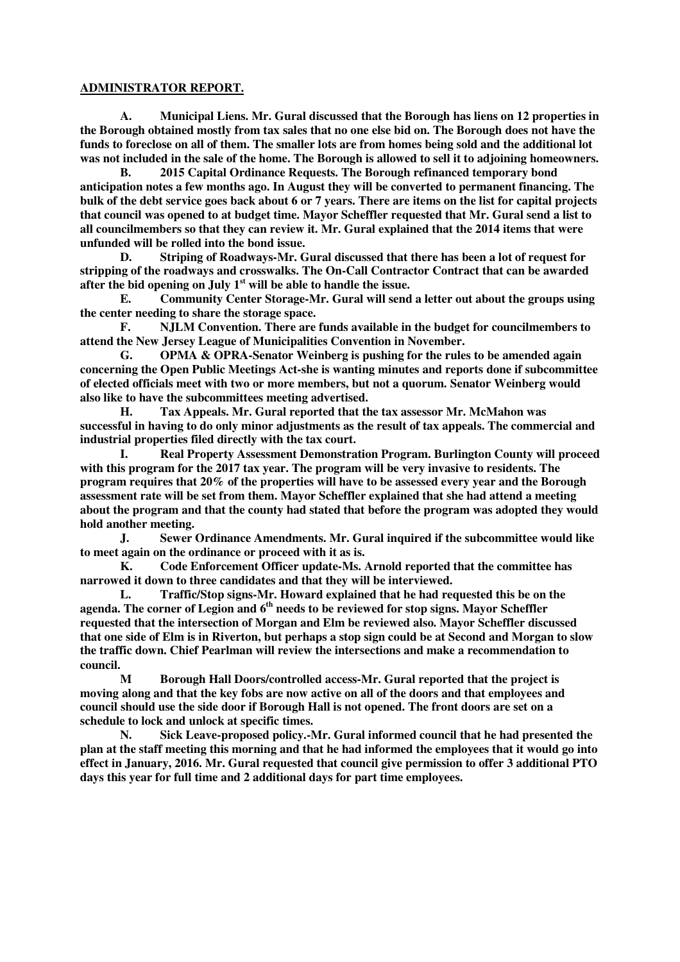#### **ADMINISTRATOR REPORT.**

**A. Municipal Liens. Mr. Gural discussed that the Borough has liens on 12 properties in the Borough obtained mostly from tax sales that no one else bid on. The Borough does not have the funds to foreclose on all of them. The smaller lots are from homes being sold and the additional lot was not included in the sale of the home. The Borough is allowed to sell it to adjoining homeowners.** 

 **B. 2015 Capital Ordinance Requests. The Borough refinanced temporary bond anticipation notes a few months ago. In August they will be converted to permanent financing. The bulk of the debt service goes back about 6 or 7 years. There are items on the list for capital projects that council was opened to at budget time. Mayor Scheffler requested that Mr. Gural send a list to all councilmembers so that they can review it. Mr. Gural explained that the 2014 items that were unfunded will be rolled into the bond issue.** 

 **D. Striping of Roadways-Mr. Gural discussed that there has been a lot of request for stripping of the roadways and crosswalks. The On-Call Contractor Contract that can be awarded after the bid opening on July 1st will be able to handle the issue.** 

 **E. Community Center Storage-Mr. Gural will send a letter out about the groups using the center needing to share the storage space.** 

**F. NJLM Convention. There are funds available in the budget for councilmembers to attend the New Jersey League of Municipalities Convention in November.** 

 **G. OPMA & OPRA-Senator Weinberg is pushing for the rules to be amended again concerning the Open Public Meetings Act-she is wanting minutes and reports done if subcommittee of elected officials meet with two or more members, but not a quorum. Senator Weinberg would also like to have the subcommittees meeting advertised.** 

 **H. Tax Appeals. Mr. Gural reported that the tax assessor Mr. McMahon was successful in having to do only minor adjustments as the result of tax appeals. The commercial and industrial properties filed directly with the tax court.** 

 **I. Real Property Assessment Demonstration Program. Burlington County will proceed with this program for the 2017 tax year. The program will be very invasive to residents. The program requires that 20% of the properties will have to be assessed every year and the Borough assessment rate will be set from them. Mayor Scheffler explained that she had attend a meeting about the program and that the county had stated that before the program was adopted they would hold another meeting.** 

 **J. Sewer Ordinance Amendments. Mr. Gural inquired if the subcommittee would like to meet again on the ordinance or proceed with it as is.** 

 **K. Code Enforcement Officer update-Ms. Arnold reported that the committee has narrowed it down to three candidates and that they will be interviewed.** 

 **L. Traffic/Stop signs-Mr. Howard explained that he had requested this be on the agenda. The corner of Legion and 6th needs to be reviewed for stop signs. Mayor Scheffler requested that the intersection of Morgan and Elm be reviewed also. Mayor Scheffler discussed that one side of Elm is in Riverton, but perhaps a stop sign could be at Second and Morgan to slow the traffic down. Chief Pearlman will review the intersections and make a recommendation to council.** 

 **M Borough Hall Doors/controlled access-Mr. Gural reported that the project is moving along and that the key fobs are now active on all of the doors and that employees and council should use the side door if Borough Hall is not opened. The front doors are set on a schedule to lock and unlock at specific times.** 

 **N. Sick Leave-proposed policy.-Mr. Gural informed council that he had presented the plan at the staff meeting this morning and that he had informed the employees that it would go into effect in January, 2016. Mr. Gural requested that council give permission to offer 3 additional PTO days this year for full time and 2 additional days for part time employees.**